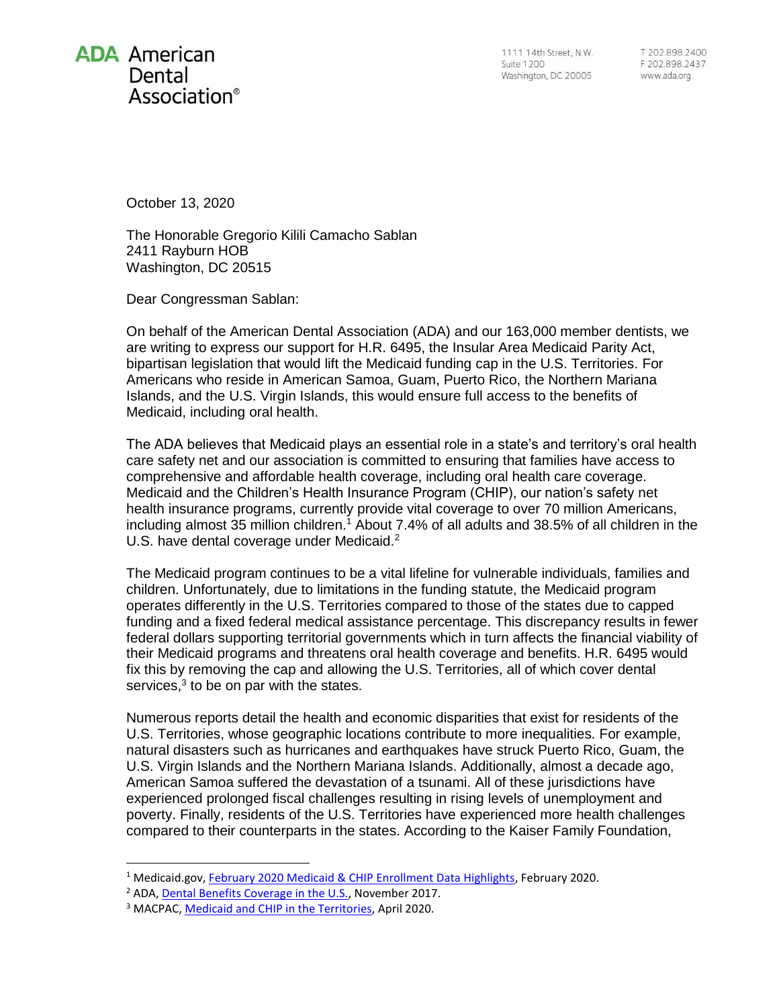

1111 14th Street, N.W. **Suite 1200** Washington, DC 20005

T 202.898.2400 F 202.898.2437 www.ada.org

October 13, 2020

The Honorable Gregorio Kilili Camacho Sablan 2411 Rayburn HOB Washington, DC 20515

Dear Congressman Sablan:

On behalf of the American Dental Association (ADA) and our 163,000 member dentists, we are writing to express our support for H.R. 6495, the Insular Area Medicaid Parity Act, bipartisan legislation that would lift the Medicaid funding cap in the U.S. Territories. For Americans who reside in American Samoa, Guam, Puerto Rico, the Northern Mariana Islands, and the U.S. Virgin Islands, this would ensure full access to the benefits of Medicaid, including oral health.

The ADA believes that Medicaid plays an essential role in a state's and territory's oral health care safety net and our association is committed to ensuring that families have access to comprehensive and affordable health coverage, including oral health care coverage. Medicaid and the Children's Health Insurance Program (CHIP), our nation's safety net health insurance programs, currently provide vital coverage to over 70 million Americans, including almost 35 million children.<sup>1</sup> About 7.4% of all adults and 38.5% of all children in the U.S. have dental coverage under Medicaid.<sup>2</sup>

The Medicaid program continues to be a vital lifeline for vulnerable individuals, families and children. Unfortunately, due to limitations in the funding statute, the Medicaid program operates differently in the U.S. Territories compared to those of the states due to capped funding and a fixed federal medical assistance percentage. This discrepancy results in fewer federal dollars supporting territorial governments which in turn affects the financial viability of their Medicaid programs and threatens oral health coverage and benefits. H.R. 6495 would fix this by removing the cap and allowing the U.S. Territories, all of which cover dental services, $3$  to be on par with the states.

Numerous reports detail the health and economic disparities that exist for residents of the U.S. Territories, whose geographic locations contribute to more inequalities. For example, natural disasters such as hurricanes and earthquakes have struck Puerto Rico, Guam, the U.S. Virgin Islands and the Northern Mariana Islands. Additionally, almost a decade ago, American Samoa suffered the devastation of a tsunami. All of these jurisdictions have experienced prolonged fiscal challenges resulting in rising levels of unemployment and poverty. Finally, residents of the U.S. Territories have experienced more health challenges compared to their counterparts in the states. According to the Kaiser Family Foundation,

<sup>&</sup>lt;sup>1</sup> Medicaid.gov, [February 2020 Medicaid & CHIP Enrollment Data Highlights,](https://www.medicaid.gov/medicaid/program-information/medicaid-and-chip-enrollment-data/report-highlights/index.html) February 2020.

<sup>&</sup>lt;sup>2</sup> ADA[, Dental Benefits Coverage in the U.S.,](https://www.ada.org/~/media/ADA/Science%20and%20Research/HPI/Files/HPIgraphic_1117_3.pdf?la=en) November 2017.

<sup>3</sup> MACPAC[, Medicaid and CHIP in the Territories,](https://www.macpac.gov/wp-content/uploads/2019/07/Medicaid-and-CHIP-in-the-Territories.pdf) April 2020.